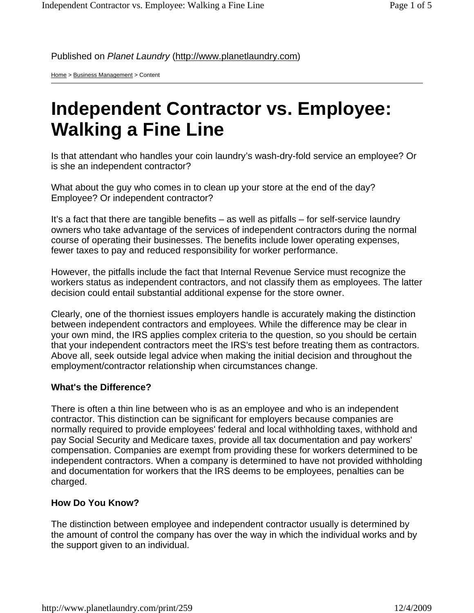Published on *Planet Laundry* (http://www.planetlaundry.com)

Home > Business Management > Content

## **Independent Contractor vs. Employee: Walking a Fine Line**

Is that attendant who handles your coin laundry's wash-dry-fold service an employee? Or is she an independent contractor?

What about the guy who comes in to clean up your store at the end of the day? Employee? Or independent contractor?

It's a fact that there are tangible benefits – as well as pitfalls – for self-service laundry owners who take advantage of the services of independent contractors during the normal course of operating their businesses. The benefits include lower operating expenses, fewer taxes to pay and reduced responsibility for worker performance.

However, the pitfalls include the fact that Internal Revenue Service must recognize the workers status as independent contractors, and not classify them as employees. The latter decision could entail substantial additional expense for the store owner.

Clearly, one of the thorniest issues employers handle is accurately making the distinction between independent contractors and employees. While the difference may be clear in your own mind, the IRS applies complex criteria to the question, so you should be certain that your independent contractors meet the IRS's test before treating them as contractors. Above all, seek outside legal advice when making the initial decision and throughout the employment/contractor relationship when circumstances change.

## **What's the Difference?**

There is often a thin line between who is as an employee and who is an independent contractor. This distinction can be significant for employers because companies are normally required to provide employees' federal and local withholding taxes, withhold and pay Social Security and Medicare taxes, provide all tax documentation and pay workers' compensation. Companies are exempt from providing these for workers determined to be independent contractors. When a company is determined to have not provided withholding and documentation for workers that the IRS deems to be employees, penalties can be charged.

## **How Do You Know?**

The distinction between employee and independent contractor usually is determined by the amount of control the company has over the way in which the individual works and by the support given to an individual.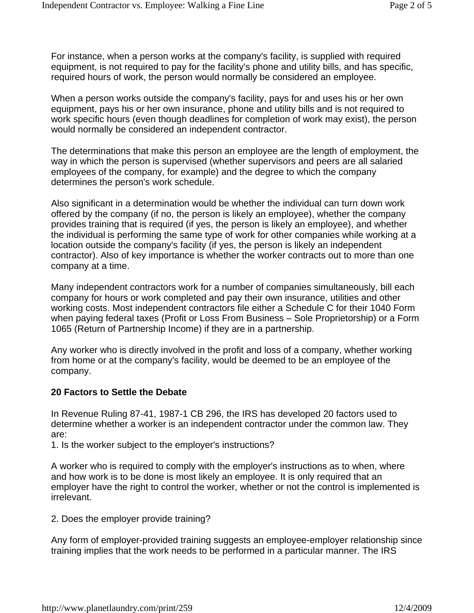For instance, when a person works at the company's facility, is supplied with required equipment, is not required to pay for the facility's phone and utility bills, and has specific, required hours of work, the person would normally be considered an employee.

When a person works outside the company's facility, pays for and uses his or her own equipment, pays his or her own insurance, phone and utility bills and is not required to work specific hours (even though deadlines for completion of work may exist), the person would normally be considered an independent contractor.

The determinations that make this person an employee are the length of employment, the way in which the person is supervised (whether supervisors and peers are all salaried employees of the company, for example) and the degree to which the company determines the person's work schedule.

Also significant in a determination would be whether the individual can turn down work offered by the company (if no, the person is likely an employee), whether the company provides training that is required (if yes, the person is likely an employee), and whether the individual is performing the same type of work for other companies while working at a location outside the company's facility (if yes, the person is likely an independent contractor). Also of key importance is whether the worker contracts out to more than one company at a time.

Many independent contractors work for a number of companies simultaneously, bill each company for hours or work completed and pay their own insurance, utilities and other working costs. Most independent contractors file either a Schedule C for their 1040 Form when paying federal taxes (Profit or Loss From Business – Sole Proprietorship) or a Form 1065 (Return of Partnership Income) if they are in a partnership.

Any worker who is directly involved in the profit and loss of a company, whether working from home or at the company's facility, would be deemed to be an employee of the company.

## **20 Factors to Settle the Debate**

In Revenue Ruling 87-41, 1987-1 CB 296, the IRS has developed 20 factors used to determine whether a worker is an independent contractor under the common law. They are:

1. Is the worker subject to the employer's instructions?

A worker who is required to comply with the employer's instructions as to when, where and how work is to be done is most likely an employee. It is only required that an employer have the right to control the worker, whether or not the control is implemented is irrelevant.

2. Does the employer provide training?

Any form of employer-provided training suggests an employee-employer relationship since training implies that the work needs to be performed in a particular manner. The IRS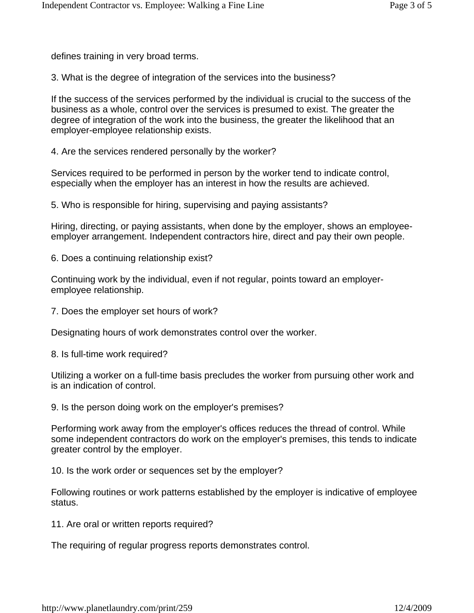defines training in very broad terms.

3. What is the degree of integration of the services into the business?

If the success of the services performed by the individual is crucial to the success of the business as a whole, control over the services is presumed to exist. The greater the degree of integration of the work into the business, the greater the likelihood that an employer-employee relationship exists.

4. Are the services rendered personally by the worker?

Services required to be performed in person by the worker tend to indicate control, especially when the employer has an interest in how the results are achieved.

5. Who is responsible for hiring, supervising and paying assistants?

Hiring, directing, or paying assistants, when done by the employer, shows an employeeemployer arrangement. Independent contractors hire, direct and pay their own people.

6. Does a continuing relationship exist?

Continuing work by the individual, even if not regular, points toward an employeremployee relationship.

7. Does the employer set hours of work?

Designating hours of work demonstrates control over the worker.

8. Is full-time work required?

Utilizing a worker on a full-time basis precludes the worker from pursuing other work and is an indication of control.

9. Is the person doing work on the employer's premises?

Performing work away from the employer's offices reduces the thread of control. While some independent contractors do work on the employer's premises, this tends to indicate greater control by the employer.

10. Is the work order or sequences set by the employer?

Following routines or work patterns established by the employer is indicative of employee status.

11. Are oral or written reports required?

The requiring of regular progress reports demonstrates control.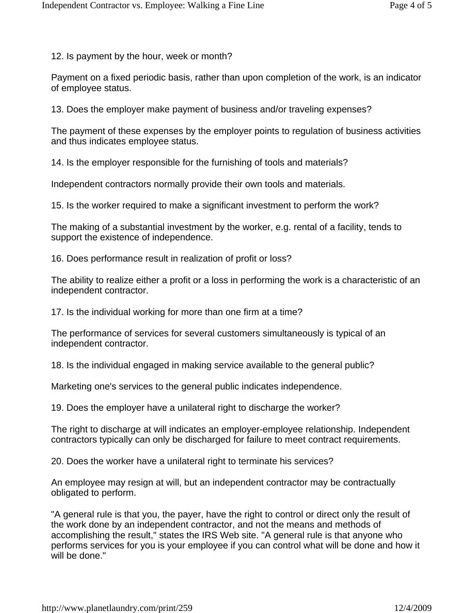12. Is payment by the hour, week or month?

Payment on a fixed periodic basis, rather than upon completion of the work, is an indicator of employee status.

13. Does the employer make payment of business and/or traveling expenses?

The payment of these expenses by the employer points to regulation of business activities and thus indicates employee status.

14. Is the employer responsible for the furnishing of tools and materials?

Independent contractors normally provide their own tools and materials.

15. Is the worker required to make a significant investment to perform the work?

The making of a substantial investment by the worker, e.g. rental of a facility, tends to support the existence of independence.

16. Does performance result in realization of profit or loss?

The ability to realize either a profit or a loss in performing the work is a characteristic of an independent contractor.

17. Is the individual working for more than one firm at a time?

The performance of services for several customers simultaneously is typical of an independent contractor.

18. Is the individual engaged in making service available to the general public?

Marketing one's services to the general public indicates independence.

19. Does the employer have a unilateral right to discharge the worker?

The right to discharge at will indicates an employer-employee relationship. Independent contractors typically can only be discharged for failure to meet contract requirements.

20. Does the worker have a unilateral right to terminate his services?

An employee may resign at will, but an independent contractor may be contractually obligated to perform.

"A general rule is that you, the payer, have the right to control or direct only the result of the work done by an independent contractor, and not the means and methods of accomplishing the result," states the IRS Web site. "A general rule is that anyone who performs services for you is your employee if you can control what will be done and how it will be done."